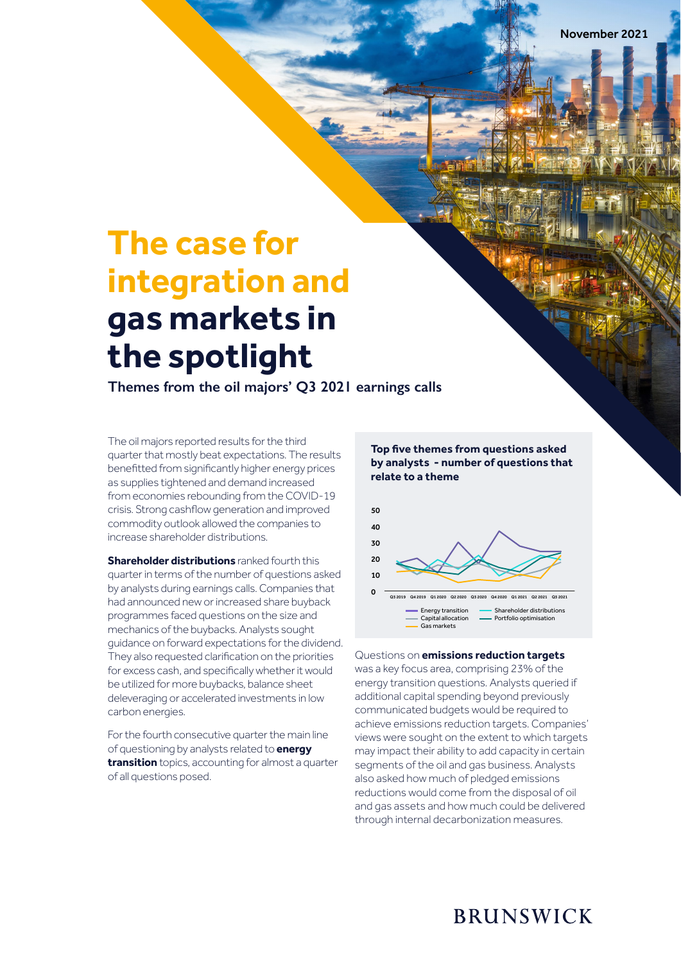# **The case for integration and gas markets in the spotlight**

**Themes from the oil majors' Q3 2021 earnings calls**

The oil majors reported results for the third quarter that mostly beat expectations. The results benefitted from significantly higher energy prices as supplies tightened and demand increased from economies rebounding from the COVID-19 crisis. Strong cashflow generation and improved commodity outlook allowed the companies to increase shareholder distributions.

**Shareholder distributions** ranked fourth this quarter in terms of the number of questions asked by analysts during earnings calls. Companies that had announced new or increased share buyback programmes faced questions on the size and mechanics of the buybacks. Analysts sought guidance on forward expectations for the dividend. They also requested clarification on the priorities for excess cash, and specifically whether it would be utilized for more buybacks, balance sheet deleveraging or accelerated investments in low carbon energies.

For the fourth consecutive quarter the main line of questioning by analysts related to **energy transition** topics, accounting for almost a quarter of all questions posed.

#### **Top five themes from questions asked by analysts - number of questions that relate to a theme**



## Questions on **emissions reduction targets**

was a key focus area, comprising 23% of the energy transition questions. Analysts queried if additional capital spending beyond previously communicated budgets would be required to achieve emissions reduction targets. Companies' views were sought on the extent to which targets may impact their ability to add capacity in certain segments of the oil and gas business. Analysts also asked how much of pledged emissions reductions would come from the disposal of oil and gas assets and how much could be delivered through internal decarbonization measures.

# **BRUNSWICK**